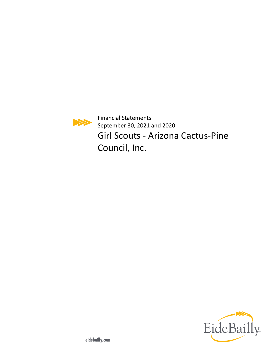Financial Statements September 30, 2021 and 2020 Girl Scouts ‐ Arizona Cactus‐Pine Council, Inc.

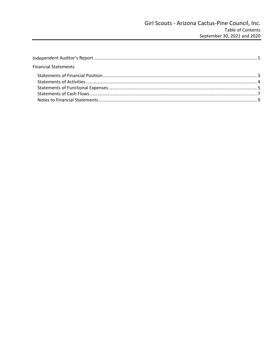| <b>Financial Statements</b> |  |
|-----------------------------|--|
|                             |  |
|                             |  |
|                             |  |
|                             |  |
|                             |  |
|                             |  |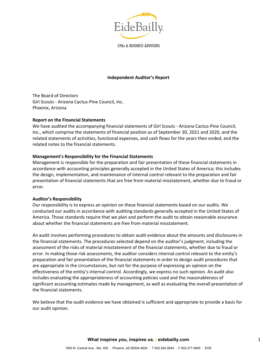

**CPAs & BUSINESS ADVISORS** 

#### **Independent Auditor's Report**

The Board of Directors Girl Scouts ‐ Arizona Cactus‐Pine Council, Inc. Phoenix, Arizona

#### **Report on the Financial Statements**

We have audited the accompanying financial statements of Girl Scouts - Arizona Cactus-Pine Council, Inc., which comprise the statements of financial position as of September 30, 2021 and 2020, and the related statements of activities, functional expenses, and cash flows for the years then ended, and the related notes to the financial statements.

### **Management's Responsibility for the Financial Statements**

Management is responsible for the preparation and fair presentation of these financial statements in accordance with accounting principles generally accepted in the United States of America; this includes the design, implementation, and maintenance of internal control relevant to the preparation and fair presentation of financial statements that are free from material misstatement, whether due to fraud or error.

#### **Auditor's Responsibility**

Our responsibility is to express an opinion on these financial statements based on our audits. We conducted our audits in accordance with auditing standards generally accepted in the United States of America. Those standards require that we plan and perform the audit to obtain reasonable assurance about whether the financial statements are free from material misstatement.

An audit involves performing procedures to obtain audit evidence about the amounts and disclosures in the financial statements. The procedures selected depend on the auditor's judgment, including the assessment of the risks of material misstatement of the financial statements, whether due to fraud or error. In making those risk assessments, the auditor considers internal control relevant to the entity's preparation and fair presentation of the financial statements in order to design audit procedures that are appropriate in the circumstances, but not for the purpose of expressing an opinion on the effectiveness of the entity's internal control. Accordingly, we express no such opinion. An audit also includes evaluating the appropriateness of accounting policies used and the reasonableness of significant accounting estimates made by management, as well as evaluating the overall presentation of the financial statements.

We believe that the audit evidence we have obtained is sufficient and appropriate to provide a basis for our audit opinion.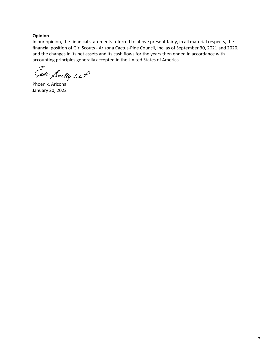### **Opinion**

In our opinion, the financial statements referred to above present fairly, in all material respects, the financial position of Girl Scouts ‐ Arizona Cactus‐Pine Council, Inc. as of September 30, 2021 and 2020, and the changes in its net assets and its cash flows for the years then ended in accordance with accounting principles generally accepted in the United States of America.

Sally LLP<br>Phoenix, Arizona

January 20, 2022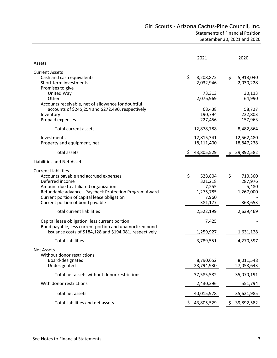|                                                                                                                                                                                                                                                                             | 2021                                                               | 2020                                                      |
|-----------------------------------------------------------------------------------------------------------------------------------------------------------------------------------------------------------------------------------------------------------------------------|--------------------------------------------------------------------|-----------------------------------------------------------|
| Assets                                                                                                                                                                                                                                                                      |                                                                    |                                                           |
| <b>Current Assets</b><br>Cash and cash equivalents<br>Short term investments                                                                                                                                                                                                | \$<br>8,208,872<br>2,032,946                                       | \$<br>5,918,040<br>2,030,228                              |
| Promises to give<br>United Way<br>Other<br>Accounts receivable, net of allowance for doubtful                                                                                                                                                                               | 73,313<br>2,076,969                                                | 30,113<br>64,990                                          |
| accounts of \$245,254 and \$272,490, respectively<br>Inventory<br>Prepaid expenses                                                                                                                                                                                          | 68,438<br>190,794<br>227,456                                       | 58,727<br>222,803<br>157,963                              |
| <b>Total current assets</b>                                                                                                                                                                                                                                                 | 12,878,788                                                         | 8,482,864                                                 |
| Investments<br>Property and equipment, net                                                                                                                                                                                                                                  | 12,815,341<br>18,111,400                                           | 12,562,480<br>18,847,238                                  |
| <b>Total assets</b>                                                                                                                                                                                                                                                         | 43,805,529                                                         | 39,892,582<br>Ş.                                          |
| Liabilities and Net Assets                                                                                                                                                                                                                                                  |                                                                    |                                                           |
| <b>Current Liabilities</b><br>Accounts payable and accrued expenses<br>Deferred income<br>Amount due to affiliated organization<br>Refundable advance - Paycheck Protection Program Award<br>Current portion of capital lease obligation<br>Current portion of bond payable | \$<br>528,804<br>321,218<br>7,255<br>1,275,785<br>7,960<br>381,177 | \$<br>710,360<br>287,976<br>5,480<br>1,267,000<br>368,653 |
| <b>Total current liabilities</b>                                                                                                                                                                                                                                            | 2,522,199                                                          | 2,639,469                                                 |
| Capital lease obligation, less current portion<br>Bond payable, less current portion and unamortized bond<br>issuance costs of \$184,128 and \$194,081, respectively                                                                                                        | 7,425<br>1,259,927                                                 | 1,631,128                                                 |
| <b>Total liabilities</b>                                                                                                                                                                                                                                                    | 3,789,551                                                          | 4,270,597                                                 |
| <b>Net Assets</b><br>Without donor restrictions<br>Board-designated<br>Undesignated                                                                                                                                                                                         | 8,790,652<br>28,794,930                                            | 8,011,548<br>27,058,643                                   |
| Total net assets without donor restrictions                                                                                                                                                                                                                                 | 37,585,582                                                         | 35,070,191                                                |
| With donor restrictions                                                                                                                                                                                                                                                     | 2,430,396                                                          | 551,794                                                   |
| Total net assets                                                                                                                                                                                                                                                            | 40,015,978                                                         | 35,621,985                                                |
| Total liabilities and net assets                                                                                                                                                                                                                                            | 43,805,529<br>\$.                                                  | \$.<br>39,892,582                                         |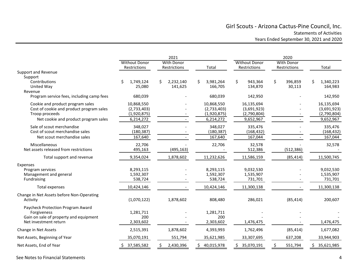# Girl Scouts ‐ Arizona Cactus‐Pine Council, Inc. Statements of Activities Years Ended September 30, 2021 and 2020

|                                                                                                                                        | 2021                                                  |                                   |                                                       | 2020                                                  |                                   |                                                       |  |
|----------------------------------------------------------------------------------------------------------------------------------------|-------------------------------------------------------|-----------------------------------|-------------------------------------------------------|-------------------------------------------------------|-----------------------------------|-------------------------------------------------------|--|
|                                                                                                                                        | <b>Without Donor</b><br>Restrictions                  | <b>With Donor</b><br>Restrictions | Total                                                 | <b>Without Donor</b><br>Restrictions                  | <b>With Donor</b><br>Restrictions | Total                                                 |  |
| Support and Revenue<br>Support<br>Contributions<br>United Way                                                                          | 1,749,124<br>Ś.<br>25,080                             | 2,232,140<br>Ś.<br>141,625        | 3,981,264<br>Ŝ.<br>166,705                            | \$<br>943,364<br>134,870                              | \$<br>396,859<br>30,113           | 1,340,223<br>Ś.<br>164,983                            |  |
| Revenue<br>Program service fees, including camp fees                                                                                   | 680,039                                               |                                   | 680,039                                               | 142,950                                               |                                   | 142,950                                               |  |
| Cookie and product program sales<br>Cost of cookie and product program sales<br>Troop proceeds<br>Net cookie and product program sales | 10,868,550<br>(2,733,403)<br>(1,920,875)<br>6,214,272 |                                   | 10,868,550<br>(2,733,403)<br>(1,920,875)<br>6,214,272 | 16,135,694<br>(3,691,923)<br>(2,790,804)<br>9,652,967 |                                   | 16,135,694<br>(3,691,923)<br>(2,790,804)<br>9,652,967 |  |
| Sale of scout merchandise<br>Cost of scout merchandise sales<br>Net scout merchandise sales                                            | 348,027<br>(180, 387)<br>167,640                      |                                   | 348,027<br>(180, 387)<br>167,640                      | 335,476<br>(168, 432)<br>167,044                      |                                   | 335,476<br>(168, 432)<br>167,044                      |  |
| Miscellaneous<br>Net assets released from restrictions                                                                                 | 22,706<br>495,163                                     | (495, 163)                        | 22,706                                                | 32,578<br>512,386                                     | (512, 386)                        | 32,578                                                |  |
| Total support and revenue                                                                                                              | 9,354,024                                             | 1,878,602                         | 11,232,626                                            | 11,586,159                                            | (85, 414)                         | 11,500,745                                            |  |
| Expenses<br>Program services<br>Management and general<br>Fundraising<br>Total expenses                                                | 8,293,115<br>1,592,307<br>538,724<br>10,424,146       |                                   | 8,293,115<br>1,592,307<br>538,724<br>10,424,146       | 9,032,530<br>1,535,907<br>731,701<br>11,300,138       |                                   | 9,032,530<br>1,535,907<br>731,701<br>11,300,138       |  |
| Change in Net Assets before Non-Operating<br>Activity                                                                                  | (1,070,122)                                           | 1,878,602                         | 808,480                                               | 286,021                                               | (85, 414)                         | 200,607                                               |  |
| Paycheck Protection Program Award<br>Forgiveness<br>Gain on sale of property and equipment<br>Net investment return                    | 1,281,711<br>200<br>2,303,602                         |                                   | 1,281,711<br>200<br>2,303,602                         | 1,476,475                                             |                                   | 1,476,475                                             |  |
| Change in Net Assets                                                                                                                   | 2,515,391                                             | 1,878,602                         | 4,393,993                                             | 1,762,496                                             | (85, 414)                         | 1,677,082                                             |  |
| Net Assets, Beginning of Year                                                                                                          | 35,070,191                                            | 551,794                           | 35,621,985                                            | 33,307,695                                            | 637,208                           | 33,944,903                                            |  |
| Net Assets, End of Year                                                                                                                | 37,585,582                                            | 2,430,396<br>\$                   | 40,015,978                                            | 35,070,191<br>Ş.                                      | 551,794                           | 35,621,985                                            |  |

See Notes to Financial Statements 4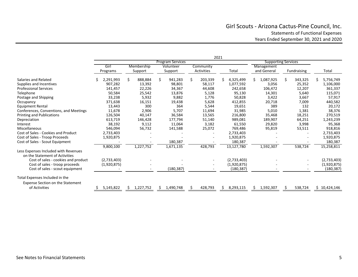# Girl Scouts ‐ Arizona Cactus‐Pine Council, Inc. Statements of Functional Expenses Years Ended September 30, 2021 and 2020

|                                                                        | 2021        |              |                         |               |                |             |                            |                |
|------------------------------------------------------------------------|-------------|--------------|-------------------------|---------------|----------------|-------------|----------------------------|----------------|
|                                                                        |             |              | <b>Program Services</b> |               |                |             | <b>Supporting Services</b> |                |
|                                                                        | Girl        | Membership   | Volunteer               | Community     |                | Management  |                            |                |
|                                                                        | Programs    | Support      | Support                 | Activities    | Total          | and General | Fundraising                | Total          |
| Salaries and Related                                                   | 2,291,993   | 888,884<br>S | 941,283<br>S            | Ś.<br>203,339 | 4,325,499<br>Ś | 1,087,925   | 343,325<br>Ś.              | 5,756,749<br>S |
| Supplies and Incentives                                                | 907,282     | 13,392       | 98,801                  | 58,117        | 1,077,592      | 3,056       | 25,352                     | 1,106,000      |
| <b>Professional Services</b>                                           | 141,457     | 22,226       | 34,367                  | 44,608        | 242,658        | 106,472     | 12,207                     | 361,337        |
| Telephone                                                              | 50,584      | 25,542       | 13,876                  | 5,128         | 95,130         | 14,301      | 5,640                      | 115,071        |
| Postage and Shipping                                                   | 33,238      | 5,932        | 9,882                   | 1,776         | 50,828         | 3,422       | 3,667                      | 57,917         |
| Occupancy                                                              | 371,638     | 16,151       | 19,438                  | 5,628         | 412,855        | 20,718      | 7,009                      | 440,582        |
| <b>Equipment Rental</b>                                                | 13,443      | 300          | 364                     | 5,544         | 19,651         | 389         | 132                        | 20,172         |
| Conferences, Conventions, and Meetings                                 | 11,678      | 2,906        | 5,707                   | 11,694        | 31,985         | 5,010       | 1,381                      | 38,376         |
| Printing and Publications                                              | 126,504     | 40,147       | 36,584                  | 13,565        | 216,800        | 35,468      | 18,251                     | 270,519        |
| Depreciation                                                           | 613,719     | 146,428      | 177,794                 | 51,140        | 989,081        | 189,907     | 64,251                     | 1,243,239      |
| Interest                                                               | 38,192      | 9,112        | 11,064                  | 3,182         | 61,550         | 29,820      | 3,998                      | 95,368         |
| Miscellaneous                                                          | 546,094     | 56,732       | 141,588                 | 25,072        | 769,486        | 95,819      | 53,511                     | 918,816        |
| Cost of Sales - Cookies and Product                                    | 2,733,403   |              |                         |               | 2,733,403      |             |                            | 2,733,403      |
| Cost of Sales - Troop Proceeds                                         | 1,920,875   |              |                         |               | 1,920,875      |             |                            | 1,920,875      |
| Cost of Sales - Scout Equipment                                        |             |              | 180,387                 |               | 180,387        |             |                            | 180,387        |
|                                                                        | 9,800,100   | 1,227,752    | 1,671,135               | 428,793       | 13,127,780     | 1,592,307   | 538,724                    | 15,258,811     |
| Less Expenses Included with Revenues<br>on the Statement of Activities |             |              |                         |               |                |             |                            |                |
| Cost of sales - cookies and product                                    | (2,733,403) |              |                         |               | (2,733,403)    |             |                            | (2,733,403)    |
| Cost of sales - troop proceeds                                         | (1,920,875) |              |                         |               | (1,920,875)    |             |                            | (1,920,875)    |
| Cost of sales - scout equipment                                        |             |              | (180, 387)              |               | (180,387)      |             |                            | (180, 387)     |
| Total Expenses Included in the                                         |             |              |                         |               |                |             |                            |                |
| <b>Expense Section on the Statement</b>                                |             |              |                         |               |                |             |                            |                |
| of Activities                                                          | 5,145,822   | 1,227,752    | 1,490,748               | 428,793       | 8,293,115      | 1,592,307   | 538,724                    | \$10,424,146   |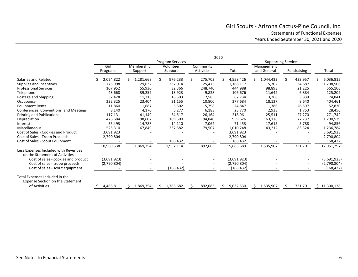# Girl Scouts ‐ Arizona Cactus‐Pine Council, Inc. Statements of Functional Expenses Years Ended September 30, 2021 and 2020

|                                                                        | 2020        |            |                  |               |                 |                            |               |              |
|------------------------------------------------------------------------|-------------|------------|------------------|---------------|-----------------|----------------------------|---------------|--------------|
|                                                                        |             |            | Program Services |               |                 | <b>Supporting Services</b> |               |              |
|                                                                        | Girl        | Membership | Volunteer        | Community     |                 | Management                 |               |              |
|                                                                        | Programs    | Support    | Support          | Activities    | Total           | and General                | Fundraising   | Total        |
| Salaries and Related                                                   | 2,024,822   | 1,281,668  | 976,233<br>S.    | Ś.<br>275,703 | 4,558,426<br>S. | Š.<br>1,044,432            | Ŝ.<br>433,957 | 6,036,815    |
| Supplies and Incentives                                                | 775,998     | 29,632     | 237,014          | 125,473       | 1,168,117       | 5,702                      | 34,687        | 1,208,506    |
| <b>Professional Services</b>                                           | 107,952     | 55,930     | 32,366           | 248,740       | 444,988         | 98,893                     | 21,225        | 565,106      |
| Telephone                                                              | 43,668      | 39,257     | 13,923           | 9,828         | 106,676         | 11,642                     | 6,884         | 125,202      |
| Postage and Shipping                                                   | 37,428      | 11,218     | 16,503           | 2,585         | 67,734          | 3,268                      | 3,839         | 74,841       |
| Occupancy                                                              | 322,325     | 23,404     | 21,155           | 10,800        | 377,684         | 18,137                     | 8,640         | 404,461      |
| <b>Equipment Rental</b>                                                | 11,860      | 1,687      | 5,502            | 5,798         | 24,847          | 1,386                      | 26,597        | 52,830       |
| Conferences, Conventions, and Meetings                                 | 8,140       | 4,170      | 5,277            | 6,183         | 23,770          | 2,933                      | 1,753         | 28,456       |
| Printing and Publications                                              | 117,131     | 41,149     | 34,517           | 26,164        | 218,961         | 25,511                     | 27,270        | 271,742      |
| Depreciation                                                           | 476,684     | 198,602    | 189,500          | 94,840        | 959,626         | 163,176                    | 77,737        | 1,200,539    |
| Interest                                                               | 35,493      | 14,788     | 14,110           | 7,062         | 71,453          | 17,615                     | 5,788         | 94,856       |
| Miscellaneous                                                          | 525,310     | 167,849    | 237,582          | 79,507        | 1,010,248       | 143,212                    | 83,324        | 1,236,784    |
| Cost of Sales - Cookies and Product                                    | 3,691,923   |            |                  |               | 3,691,923       |                            |               | 3,691,923    |
| Cost of Sales - Troop Proceeds                                         | 2,790,804   |            |                  |               | 2,790,804       |                            |               | 2,790,804    |
| Cost of Sales - Scout Equipment                                        |             |            | 168,432          |               | 168,432         |                            |               | 168,432      |
|                                                                        | 10,969,538  | 1,869,354  | 1,952,114        | 892,683       | 15,683,689      | 1,535,907                  | 731,701       | 17,951,297   |
| Less Expenses Included with Revenues<br>on the Statement of Activities |             |            |                  |               |                 |                            |               |              |
| Cost of sales - cookies and product                                    | (3,691,923) |            |                  |               | (3,691,923)     |                            |               | (3,691,923)  |
| Cost of sales - troop proceeds                                         | (2,790,804) |            |                  |               | (2,790,804)     |                            |               | (2,790,804)  |
| Cost of sales - scout equipment                                        |             |            | (168, 432)       |               | (168, 432)      |                            |               | (168,432)    |
| Total Expenses Included in the<br>Expense Section on the Statement     |             |            |                  |               |                 |                            |               |              |
| of Activities                                                          | 4,486,811   | 1,869,354  | 1,783,682        | 892,683       | 9,032,530<br>Ŝ. | Ś<br>1,535,907             | Ŝ<br>731,701  | \$11,300,138 |
|                                                                        |             |            |                  |               |                 |                            |               |              |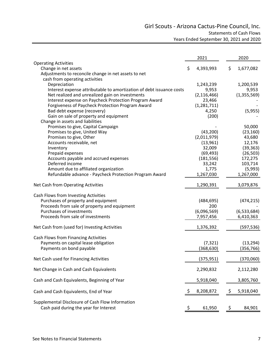# Girl Scouts ‐ Arizona Cactus‐Pine Council, Inc. Statements of Cash Flows Years Ended September 30, 2021 and 2020

|                                                                                                 |    | 2021                   |    | 2020          |
|-------------------------------------------------------------------------------------------------|----|------------------------|----|---------------|
| <b>Operating Activities</b><br>Change in net assets                                             | \$ | 4,393,993              | \$ | 1,677,082     |
| Adjustments to reconcile change in net assets to net                                            |    |                        |    |               |
| cash from operating activities                                                                  |    |                        |    |               |
| Depreciation                                                                                    |    | 1,243,239              |    | 1,200,539     |
| Interest expense attributable to amortization of debt issuance costs                            |    | 9,953                  |    | 9,953         |
| Net realized and unrealized gain on investments                                                 |    | (2, 116, 466)          |    | (1, 355, 569) |
| Interest expense on Paycheck Protection Program Award                                           |    | 23,466                 |    |               |
| Forgiveness of Paycheck Protection Program Award<br>Bad debt expense (recovery)                 |    | (1, 281, 711)<br>4,250 |    | (5,955)       |
| Gain on sale of property and equipment                                                          |    | (200)                  |    |               |
| Change in assets and liabilities                                                                |    |                        |    |               |
| Promises to give, Capital Campaign                                                              |    |                        |    | 50,000        |
| Promises to give, United Way                                                                    |    | (43, 200)              |    | (23, 160)     |
| Promises to give, Other                                                                         |    | (2,011,979)            |    | 43,680        |
| Accounts receivable, net                                                                        |    | (13,961)               |    | 12,176        |
| Inventory                                                                                       |    | 32,009                 |    | (39, 363)     |
| Prepaid expenses                                                                                |    | (69, 493)              |    | (26, 503)     |
| Accounts payable and accrued expenses                                                           |    | (181, 556)             |    | 172,275       |
| Deferred income                                                                                 |    | 33,242                 |    | 103,714       |
| Amount due to affiliated organization<br>Refundable advance - Paycheck Protection Program Award |    | 1,775                  |    | (5,993)       |
|                                                                                                 |    | 1,267,030              |    | 1,267,000     |
| Net Cash from Operating Activities                                                              |    | 1,290,391              |    | 3,079,876     |
| Cash Flows from Investing Activities                                                            |    |                        |    |               |
| Purchases of property and equipment                                                             |    | (484, 695)             |    | (474, 215)    |
| Proceeds from sale of property and equipment                                                    |    | 200                    |    |               |
| Purchases of investments                                                                        |    | (6,096,569)            |    | (6,533,684)   |
| Proceeds from sale of investments                                                               |    | 7,957,456              |    | 6,410,363     |
| Net Cash from (used for) Investing Activities                                                   |    | 1,376,392              |    | (597, 536)    |
| Cash Flows from Financing Activities                                                            |    |                        |    |               |
| Payments on capital lease obligation                                                            |    | (7, 321)               |    | (13, 294)     |
| Payments on bond payable                                                                        |    | (368, 630)             |    | (356, 766)    |
| Net Cash used for Financing Activities                                                          |    | (375, 951)             |    | (370,060)     |
| Net Change in Cash and Cash Equivalents                                                         |    | 2,290,832              |    | 2,112,280     |
| Cash and Cash Equivalents, Beginning of Year                                                    |    | 5,918,040              |    | 3,805,760     |
| Cash and Cash Equivalents, End of Year                                                          | Ş  | 8,208,872              | -Ş | 5,918,040     |
| Supplemental Disclosure of Cash Flow Information<br>Cash paid during the year for Interest      | \$ | 61,950                 | \$ | 84,901        |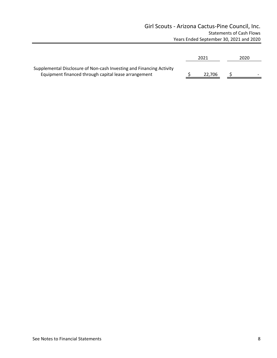|                                                                                                                              | 2021   | 2020 |
|------------------------------------------------------------------------------------------------------------------------------|--------|------|
| Supplemental Disclosure of Non-cash Investing and Financing Activity<br>Equipment financed through capital lease arrangement | 22.706 |      |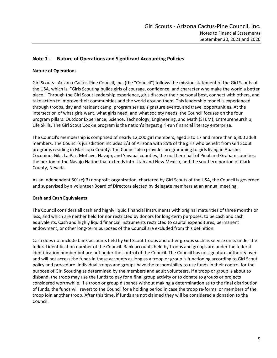### **Note 1 ‐ Nature of Operations and Significant Accounting Policies**

### **Nature of Operations**

Girl Scouts ‐ Arizona Cactus‐Pine Council, Inc. (the "Council") follows the mission statement of the Girl Scouts of the USA, which is, "Girls Scouting builds girls of courage, confidence, and character who make the world a better place." Through the Girl Scout leadership experience, girls discover their personal best, connect with others, and take action to improve their communities and the world around them. This leadership model is experienced through troops, day and resident camp, program series, signature events, and travel opportunities. At the intersection of what girls want, what girls need, and what society needs, the Council focuses on the four program pillars: Outdoor Experience; Science, Technology, Engineering, and Math (STEM); Entrepreneurship; Life Skills. The Girl Scout Cookie program is the nation's largest girl-run financial literacy enterprise.

The Council's membership is comprised of nearly 12,000 girl members, aged 5 to 17 and more than 6,300 adult members. The Council's jurisdiction includes 2/3 of Arizona with 85% of the girls who benefit from Girl Scout programs residing in Maricopa County. The Council also provides programming to girls living in Apache, Coconino, Gila, La Paz, Mohave, Navajo, and Yavapai counties, the northern half of Pinal and Graham counties, the portion of the Navajo Nation that extends into Utah and New Mexico, and the southern portion of Clark County, Nevada.

As an independent 501(c)(3) nonprofit organization, chartered by Girl Scouts of the USA, the Council is governed and supervised by a volunteer Board of Directors elected by delegate members at an annual meeting.

### **Cash and Cash Equivalents**

The Council considers all cash and highly liquid financial instruments with original maturities of three months or less, and which are neither held for nor restricted by donors for long-term purposes, to be cash and cash equivalents. Cash and highly liquid financial instruments restricted to capital expenditures, permanent endowment, or other long-term purposes of the Council are excluded from this definition.

Cash does not include bank accounts held by Girl Scout troops and other groups such as service units under the federal identification number of the Council. Bank accounts held by troops and groups are under the federal identification number but are not under the control of the Council. The Council has no signature authority over and will not access the funds in these accounts as long as a troop or group is functioning according to Girl Scout policy and procedure. Individual troops and groups have the responsibility to use funds in their control for the purpose of Girl Scouting as determined by the members and adult volunteers. If a troop or group is about to disband, the troop may use the funds to pay for a final group activity or to donate to groups or projects considered worthwhile. If a troop or group disbands without making a determination as to the final distribution of funds, the funds will revert to the Council for a holding period in case the troop re‐forms, or members of the troop join another troop. After this time, if funds are not claimed they will be considered a donation to the Council.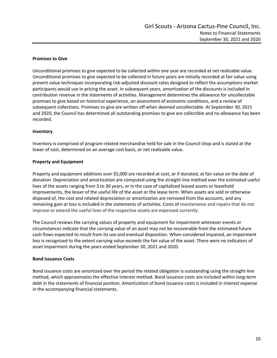### **Promises to Give**

Unconditional promises to give expected to be collected within one year are recorded at net realizable value. Unconditional promises to give expected to be collected in future years are initially recorded at fair value using present value techniques incorporating risk‐adjusted discount rates designed to reflect the assumptions market participants would use in pricing the asset. In subsequent years, amortization of the discounts is included in contribution revenue in the statements of activities. Management determines the allowance for uncollectable promises to give based on historical experience, an assessment of economic conditions, and a review of subsequent collections. Promises to give are written off when deemed uncollectable. At September 30, 2021 and 2020, the Council has determined all outstanding promises to give are collectible and no allowance has been recorded.

### **Inventory**

Inventory is comprised of program‐related merchandise held for sale in the Council shop and is stated at the lower of cost, determined on an average cost basis, or net realizable value.

### **Property and Equipment**

Property and equipment additions over \$5,000 are recorded at cost, or if donated, at fair value on the date of donation. Depreciation and amortization are computed using the straight‐line method over the estimated useful lives of the assets ranging from 3 to 30 years, or in the case of capitalized leased assets or leasehold improvements, the lesser of the useful life of the asset or the lease term. When assets are sold or otherwise disposed of, the cost and related depreciation or amortization are removed from the accounts, and any remaining gain or loss is included in the statements of activities. Costs of maintenance and repairs that do not improve or extend the useful lives of the respective assets are expensed currently.

The Council reviews the carrying values of property and equipment for impairment whenever events or circumstances indicate that the carrying value of an asset may not be recoverable from the estimated future cash flows expected to result from its use and eventual disposition. When considered impaired, an impairment loss is recognized to the extent carrying value exceeds the fair value of the asset. There were no indicators of asset impairment during the years ended September 30, 2021 and 2020.

### **Bond Issuance Costs**

Bond issuance costs are amortized over the period the related obligation is outstanding using the straight‐line method, which approximates the effective interest method. Bond issuance costs are included within long‐term debt in the statements of financial position. Amortization of bond issuance costs is included in interest expense in the accompanying financial statements.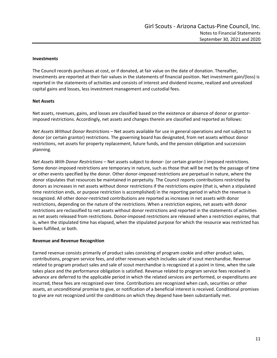#### **Investments**

The Council records purchases at cost, or if donated, at fair value on the date of donation. Thereafter, investments are reported at their fair values in the statements of financial position. Net investment gain/(loss) is reported in the statements of activities and consists of interest and dividend income, realized and unrealized capital gains and losses, less investment management and custodial fees.

#### **Net Assets**

Net assets, revenues, gains, and losses are classified based on the existence or absence of donor or grantor‐ imposed restrictions. Accordingly, net assets and changes therein are classified and reported as follows:

*Net Assets Without Donor Restrictions* – Net assets available for use in general operations and not subject to donor (or certain grantor) restrictions. The governing board has designated, from net assets without donor restrictions, net assets for property replacement, future funds, and the pension obligation and succession planning.

*Net Assets With Donor Restrictions* – Net assets subject to donor‐ (or certain grantor‐) imposed restrictions. Some donor‐imposed restrictions are temporary in nature, such as those that will be met by the passage of time or other events specified by the donor. Other donor‐imposed restrictions are perpetual in nature, where the donor stipulates that resources be maintained in perpetuity. The Council reports contributions restricted by donors as increases in net assets without donor restrictions if the restrictions expire (that is, when a stipulated time restriction ends, or purpose restriction is accomplished) in the reporting period in which the revenue is recognized. All other donor-restricted contributions are reported as increases in net assets with donor restrictions, depending on the nature of the restrictions. When a restriction expires, net assets with donor restrictions are reclassified to net assets without donor restrictions and reported in the statements of activities as net assets released from restrictions. Donor‐imposed restrictions are released when a restriction expires, that is, when the stipulated time has elapsed, when the stipulated purpose for which the resource was restricted has been fulfilled, or both.

#### **Revenue and Revenue Recognition**

Earned revenue consists primarily of product sales consisting of program cookie and other product sales, contributions, program service fees, and other revenues which includes sale of scout merchandise. Revenue related to program product sales and sale of scout merchandise is recognized at a point in time, when the sale takes place and the performance obligation is satisfied. Revenue related to program service fees received in advance are deferred to the applicable period in which the related services are performed, or expenditures are incurred, these fees are recognized over time. Contributions are recognized when cash, securities or other assets, an unconditional promise to give, or notification of a beneficial interest is received. Conditional promises to give are not recognized until the conditions on which they depend have been substantially met.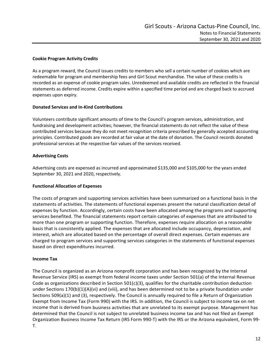### **Cookie Program Activity Credits**

As a program reward, the Council issues credits to members who sell a certain number of cookies which are redeemable for program and membership fees and Girl Scout merchandise. The value of these credits is recorded as an expense of cookie program sales. Unredeemed and available credits are reflected in the financial statements as deferred income. Credits expire within a specified time period and are charged back to accrued expenses upon expiry.

### **Donated Services and In‐Kind Contributions**

Volunteers contribute significant amounts of time to the Council's program services, administration, and fundraising and development activities; however, the financial statements do not reflect the value of these contributed services because they do not meet recognition criteria prescribed by generally accepted accounting principles. Contributed goods are recorded at fair value at the date of donation. The Council records donated professional services at the respective fair values of the services received.

### **Advertising Costs**

Advertising costs are expensed as incurred and approximated \$135,000 and \$105,000 for the years ended September 30, 2021 and 2020, respectively.

### **Functional Allocation of Expenses**

The costs of program and supporting services activities have been summarized on a functional basis in the statements of activities. The statements of functional expenses present the natural classification detail of expenses by function. Accordingly, certain costs have been allocated among the programs and supporting services benefited. The financial statements report certain categories of expenses that are attributed to more than one program or supporting function. Therefore, expenses require allocation on a reasonable basis that is consistently applied. The expenses that are allocated include occupancy, depreciation, and interest, which are allocated based on the percentage of overall direct expenses. Certain expenses are charged to program services and supporting services categories in the statements of functional expenses based on direct expenditures incurred.

### **Income Tax**

The Council is organized as an Arizona nonprofit corporation and has been recognized by the Internal Revenue Service (IRS) as exempt from federal income taxes under Section 501(a) of the Internal Revenue Code as organizations described in Section 501(c)(3), qualifies for the charitable contribution deduction under Sections 170(b)(1)(A)(vi) and (viii), and has been determined not to be a private foundation under Sections 509(a)(1) and (3), respectively. The Council is annually required to file a Return of Organization Exempt from Income Tax (Form 990) with the IRS. In addition, the Council is subject to income tax on net income that is derived from business activities that are unrelated to its exempt purpose. Management has determined that the Council is not subject to unrelated business income tax and has not filed an Exempt Organization Business Income Tax Return (IRS Form 990‐T) with the IRS or the Arizona equivalent, Form 99‐ T.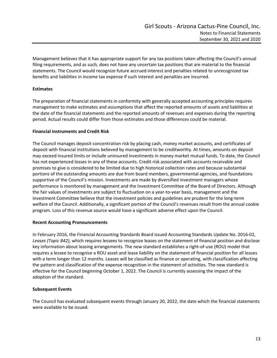Management believes that it has appropriate support for any tax positions taken affecting the Council's annual filing requirements, and as such, does not have any uncertain tax positions that are material to the financial statements. The Council would recognize future accrued interest and penalties related to unrecognized tax benefits and liabilities in income tax expense if such interest and penalties are incurred.

### **Estimates**

The preparation of financial statements in conformity with generally accepted accounting principles requires management to make estimates and assumptions that affect the reported amounts of assets and liabilities at the date of the financial statements and the reported amounts of revenues and expenses during the reporting period. Actual results could differ from those estimates and those differences could be material.

### **Financial Instruments and Credit Risk**

The Council manages deposit concentration risk by placing cash, money market accounts, and certificates of deposit with financial institutions believed by management to be creditworthy. At times, amounts on deposit may exceed insured limits or include uninsured investments in money market mutual funds. To date, the Council has not experienced losses in any of these accounts. Credit risk associated with accounts receivable and promises to give is considered to be limited due to high historical collection rates and because substantial portions of the outstanding amounts are due from board members, governmental agencies, and foundations supportive of the Council's mission. Investments are made by diversified investment managers whose performance is monitored by management and the Investment Committee of the Board of Directors. Although the fair values of investments are subject to fluctuation on a year‐to‐year basis, management and the Investment Committee believe that the investment policies and guidelines are prudent for the long‐term welfare of the Council. Additionally, a significant portion of the Council's revenues result from the annual cookie program. Loss of this revenue source would have a significant adverse effect upon the Council.

### **Recent Accounting Pronouncements**

In February 2016, the Financial Accounting Standards Board issued Accounting Standards Update No. 2016‐02, *Leases (Topic 842)*, which requires lessees to recognize leases on the statement of financial position and disclose key information about leasing arrangements. The new standard establishes a right‐of‐use (ROU) model that requires a lessee to recognize a ROU asset and lease liability on the statement of financial position for all leases with a term longer than 12 months. Leases will be classified as finance or operating, with classification affecting the pattern and classification of the expense recognition in the statement of activities. The new standard is effective for the Council beginning October 1, 2022. The Council is currently assessing the impact of the adoption of the standard.

### **Subsequent Events**

The Council has evaluated subsequent events through January 20, 2022, the date which the financial statements were available to be issued.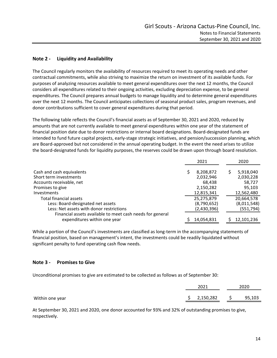# **Note 2 ‐ Liquidity and Availability**

The Council regularly monitors the availability of resources required to meet its operating needs and other contractual commitments, while also striving to maximize the return on investment of its available funds. For purposes of analyzing resources available to meet general expenditures over the next 12 months, the Council considers all expenditures related to their ongoing activities, excluding depreciation expense, to be general expenditures. The Council prepares annual budgets to manage liquidity and to determine general expenditures over the next 12 months. The Council anticipates collections of seasonal product sales, program revenues, and donor contributions sufficient to cover general expenditures during that period.

The following table reflects the Council's financial assets as of September 30, 2021 and 2020, reduced by amounts that are not currently available to meet general expenditures within one year of the statement of financial position date due to donor restrictions or internal board designations. Board‐designated funds are intended to fund future capital projects, early‐stage strategic initiatives, and pension/succession planning, which are Board-approved but not considered in the annual operating budget. In the event the need arises to utilize the board‐designated funds for liquidity purposes, the reserves could be drawn upon through board resolution.

|                                                           | 2021        | 2020        |
|-----------------------------------------------------------|-------------|-------------|
| Cash and cash equivalents                                 | 8,208,872   | 5,918,040   |
| Short term investments                                    | 2,032,946   | 2,030,228   |
| Accounts receivable, net                                  | 68,438      | 58,727      |
| Promises to give                                          | 2,150,282   | 95,103      |
| Investments                                               | 12,815,341  | 12,562,480  |
| Total financial assets                                    | 25,275,879  | 20,664,578  |
| Less: Board-designated net assets                         | (8,790,652) | (8,011,548) |
| Less: Net assets with donor restrictions                  | (2,430,396) | (551, 794)  |
| Financial assets available to meet cash needs for general |             |             |
| expenditures within one year                              | 14,054,831  | 12,101,236  |

While a portion of the Council's investments are classified as long-term in the accompanying statements of financial position, based on management's intent, the investments could be readily liquidated without significant penalty to fund operating cash flow needs.

### **Note 3 ‐ Promises to Give**

Unconditional promises to give are estimated to be collected as follows as of September 30:

|                 | 2021        |  | 2020   |
|-----------------|-------------|--|--------|
| Within one year | \$2,150,282 |  | 95,103 |

At September 30, 2021 and 2020, one donor accounted for 93% and 32% of outstanding promises to give, respectively.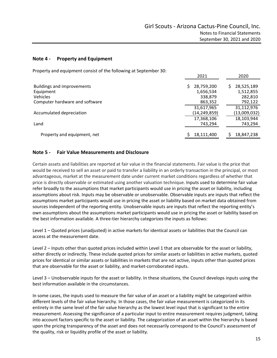### **Note 4 ‐ Property and Equipment**

Property and equipment consist of the following at September 30:

|                                   | 2021         | 2020            |
|-----------------------------------|--------------|-----------------|
| <b>Buildings and improvements</b> | 28,759,200   | 28,525,189<br>S |
| Equipment                         | 1,656,534    | 1,512,855       |
| <b>Vehicles</b>                   | 338,879      | 282,810         |
| Computer hardware and software    | 863,352      | 792,122         |
|                                   | 31,617,965   | 31,112,976      |
| Accumulated depreciation          | (14,249,859) | (13,009,032)    |
|                                   | 17,368,106   | 18,103,944      |
| Land                              | 743,294      | 743,294         |
| Property and equipment, net       | 18,111,400   | 18,847,238      |
|                                   |              |                 |

### **Note 5 ‐ Fair Value Measurements and Disclosure**

Certain assets and liabilities are reported at fair value in the financial statements. Fair value is the price that would be received to sell an asset or paid to transfer a liability in an orderly transaction in the principal, or most advantageous, market at the measurement date under current market conditions regardless of whether that price is directly observable or estimated using another valuation technique. Inputs used to determine fair value refer broadly to the assumptions that market participants would use in pricing the asset or liability, including assumptions about risk. Inputs may be observable or unobservable. Observable inputs are inputs that reflect the assumptions market participants would use in pricing the asset or liability based on market data obtained from sources independent of the reporting entity. Unobservable inputs are inputs that reflect the reporting entity's own assumptions about the assumptions market participants would use in pricing the asset or liability based on the best information available. A three-tier hierarchy categorizes the inputs as follows:

Level 1 – Quoted prices (unadjusted) in active markets for identical assets or liabilities that the Council can access at the measurement date.

Level 2 – Inputs other than quoted prices included within Level 1 that are observable for the asset or liability, either directly or indirectly. These include quoted prices for similar assets or liabilities in active markets, quoted prices for identical or similar assets or liabilities in markets that are not active, inputs other than quoted prices that are observable for the asset or liability, and market-corroborated inputs.

Level 3 – Unobservable inputs for the asset or liability. In these situations, the Council develops inputs using the best information available in the circumstances.

In some cases, the inputs used to measure the fair value of an asset or a liability might be categorized within different levels of the fair value hierarchy. In those cases, the fair value measurement is categorized in its entirety in the same level of the fair value hierarchy as the lowest level input that is significant to the entire measurement. Assessing the significance of a particular input to entire measurement requires judgment, taking into account factors specific to the asset or liability. The categorization of an asset within the hierarchy is based upon the pricing transparency of the asset and does not necessarily correspond to the Council's assessment of the quality, risk or liquidity profile of the asset or liability.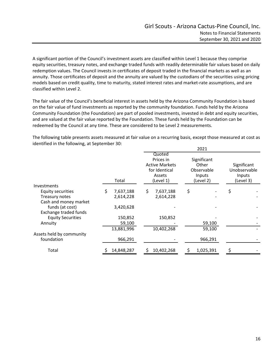A significant portion of the Council's investment assets are classified within Level 1 because they comprise equity securities, treasury notes, and exchange traded funds with readily determinable fair values based on daily redemption values. The Council invests in certificates of deposit traded in the financial markets as well as an annuity. Those certificates of deposit and the annuity are valued by the custodians of the securities using pricing models based on credit quality, time to maturity, stated interest rates and market-rate assumptions, and are classified within Level 2.

The fair value of the Council's beneficial interest in assets held by the Arizona Community Foundation is based on the fair value of fund investments as reported by the community foundation. Funds held by the Arizona Community Foundation (the Foundation) are part of pooled investments, invested in debt and equity securities, and are valued at the fair value reported by the Foundation. These funds held by the Foundation can be redeemed by the Council at any time. These are considered to be Level 2 measurements.

The following table presents assets measured at fair value on a recurring basis, except those measured at cost as identified in the following, at September 30:

|                          |   |                                                                                      | 2021 |            |    |                                                           |                                                    |  |  |
|--------------------------|---|--------------------------------------------------------------------------------------|------|------------|----|-----------------------------------------------------------|----------------------------------------------------|--|--|
| Total                    |   | Quoted<br>Prices in<br><b>Active Markets</b><br>for Identical<br>Assets<br>(Level 1) |      |            |    | Significant<br>Other<br>Observable<br>Inputs<br>(Level 2) | Significant<br>Unobservable<br>Inputs<br>(Level 3) |  |  |
| <b>Investments</b>       |   |                                                                                      |      |            |    |                                                           |                                                    |  |  |
| <b>Equity securities</b> | S | 7,637,188                                                                            | \$.  | 7,637,188  | \$ |                                                           | \$                                                 |  |  |
| Treasury notes           |   | 2,614,228                                                                            |      | 2,614,228  |    |                                                           |                                                    |  |  |
| Cash and money market    |   |                                                                                      |      |            |    |                                                           |                                                    |  |  |
| funds (at cost)          |   | 3,420,628                                                                            |      |            |    |                                                           |                                                    |  |  |
| Exchange traded funds    |   |                                                                                      |      |            |    |                                                           |                                                    |  |  |
| <b>Equity Securities</b> |   | 150,852                                                                              |      | 150,852    |    |                                                           |                                                    |  |  |
| Annuity                  |   | 59,100                                                                               |      |            |    | 59,100                                                    |                                                    |  |  |
|                          |   | 13,881,996                                                                           |      | 10,402,268 |    | 59,100                                                    |                                                    |  |  |
| Assets held by community |   |                                                                                      |      |            |    |                                                           |                                                    |  |  |
| foundation               |   | 966,291                                                                              |      |            |    | 966,291                                                   |                                                    |  |  |
|                          |   |                                                                                      |      |            |    |                                                           |                                                    |  |  |
| Total                    |   | 14,848,287                                                                           |      | 10,402,268 |    | 1,025,391                                                 |                                                    |  |  |
|                          |   |                                                                                      |      |            |    |                                                           |                                                    |  |  |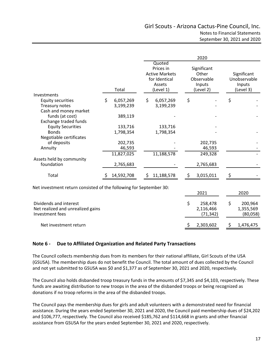# Girl Scouts ‐ Arizona Cactus‐Pine Council, Inc. Notes to Financial Statements September 30, 2021 and 2020

|                                                                    |                              |    |                                                                                      |     | 2020                                                      |     |                                                    |
|--------------------------------------------------------------------|------------------------------|----|--------------------------------------------------------------------------------------|-----|-----------------------------------------------------------|-----|----------------------------------------------------|
|                                                                    | Total                        |    | Quoted<br>Prices in<br><b>Active Markets</b><br>for Identical<br>Assets<br>(Level 1) |     | Significant<br>Other<br>Observable<br>Inputs<br>(Level 2) |     | Significant<br>Unobservable<br>Inputs<br>(Level 3) |
| Investments                                                        |                              |    |                                                                                      |     |                                                           |     |                                                    |
| <b>Equity securities</b><br>Treasury notes                         | \$<br>6,057,269<br>3,199,239 | \$ | 6,057,269<br>3,199,239                                                               | \$  |                                                           | \$  |                                                    |
| Cash and money market                                              |                              |    |                                                                                      |     |                                                           |     |                                                    |
| funds (at cost)                                                    | 389,119                      |    |                                                                                      |     |                                                           |     |                                                    |
| Exchange traded funds                                              |                              |    |                                                                                      |     |                                                           |     |                                                    |
| <b>Equity Securities</b>                                           | 133,716                      |    | 133,716                                                                              |     |                                                           |     |                                                    |
| <b>Bonds</b>                                                       | 1,798,354                    |    | 1,798,354                                                                            |     |                                                           |     |                                                    |
| Negotiable certificates                                            |                              |    |                                                                                      |     |                                                           |     |                                                    |
| of deposits                                                        | 202,735                      |    |                                                                                      |     | 202,735                                                   |     |                                                    |
| Annuity                                                            | 46,593                       |    |                                                                                      |     | 46,593                                                    |     |                                                    |
|                                                                    | 11,827,025                   |    | 11,188,578                                                                           |     | 249,328                                                   |     |                                                    |
| Assets held by community                                           |                              |    |                                                                                      |     |                                                           |     |                                                    |
| foundation                                                         | 2,765,683                    |    |                                                                                      |     | 2,765,683                                                 |     |                                                    |
| Total                                                              | 14,592,708                   | Ş. | 11,188,578                                                                           | -\$ | 3,015,011                                                 |     |                                                    |
| Net investment return consisted of the following for September 30: |                              |    |                                                                                      |     |                                                           |     |                                                    |
|                                                                    |                              |    |                                                                                      |     | 2021                                                      |     | 2020                                               |
|                                                                    |                              |    |                                                                                      |     |                                                           |     |                                                    |
| Dividends and interest                                             |                              |    |                                                                                      | \$  | 258,478                                                   | \$  | 200,964                                            |
| Net realized and unrealized gains                                  |                              |    |                                                                                      |     | 2,116,466                                                 |     | 1,355,569                                          |
| Investment fees                                                    |                              |    |                                                                                      |     | (71, 342)                                                 |     | (80,058)                                           |
|                                                                    |                              |    |                                                                                      |     |                                                           |     |                                                    |
| Net investment return                                              |                              |    |                                                                                      | \$  | 2,303,602                                                 | \$. | 1,476,475                                          |

### **Note 6 ‐ Due to Affiliated Organization and Related Party Transactions**

The Council collects membership dues from its members for their national affiliate, Girl Scouts of the USA (GSUSA). The membership dues do not benefit the Council. The total amount of dues collected by the Council and not yet submitted to GSUSA was \$0 and \$1,377 as of September 30, 2021 and 2020, respectively.

The Council also holds disbanded troop treasury funds in the amounts of \$7,345 and \$4,103, respectively. These funds are awaiting distribution to new troops in the area of the disbanded troops or being recognized as donations if no troop reforms in the area of the disbanded troops.

The Council pays the membership dues for girls and adult volunteers with a demonstrated need for financial assistance. During the years ended September 30, 2021 and 2020, the Council paid membership dues of \$24,202 and \$106,777, respectively. The Council also received \$185,762 and \$114,668 in grants and other financial assistance from GSUSA for the years ended September 30, 2021 and 2020, respectively.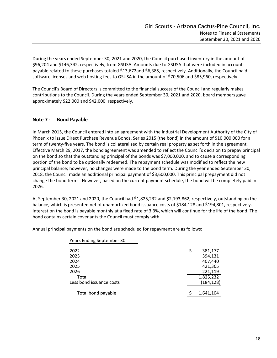During the years ended September 30, 2021 and 2020, the Council purchased inventory in the amount of \$96,204 and \$146,342, respectively, from GSUSA. Amounts due to GSUSA that were included in accounts payable related to these purchases totaled \$13,672and \$6,385, respectively. Additionally, the Council paid software licenses and web hosting fees to GSUSA in the amount of \$70,506 and \$85,960, respectively.

The Council's Board of Directors is committed to the financial success of the Council and regularly makes contributions to the Council. During the years ended September 30, 2021 and 2020, board members gave approximately \$22,000 and \$42,000, respectively.

# **Note 7 ‐ Bond Payable**

In March 2015, the Council entered into an agreement with the Industrial Development Authority of the City of Phoenix to issue Direct Purchase Revenue Bonds, Series 2015 (the bond) in the amount of \$10,000,000 for a term of twenty‐five years. The bond is collateralized by certain real property as set forth in the agreement. Effective March 29, 2017, the bond agreement was amended to reflect the Council's decision to prepay principal on the bond so that the outstanding principal of the bonds was \$7,000,000, and to cause a corresponding portion of the bond to be optionally redeemed. The repayment schedule was modified to reflect the new principal balance; however, no changes were made to the bond term. During the year ended September 30, 2018, the Council made an additional principal payment of \$3,600,000. This principal prepayment did not change the bond terms. However, based on the current payment schedule, the bond will be completely paid in 2026.

At September 30, 2021 and 2020, the Council had \$1,825,232 and \$2,193,862, respectively, outstanding on the balance, which is presented net of unamortized bond issuance costs of \$184,128 and \$194,801, respectively. Interest on the bond is payable monthly at a fixed rate of 3.3%, which will continue for the life of the bond. The bond contains certain covenants the Council must comply with.

Annual principal payments on the bond are scheduled for repayment are as follows:

| <b>Years Ending September 30</b>     |                                                           |
|--------------------------------------|-----------------------------------------------------------|
| 2022<br>2023<br>2024<br>2025<br>2026 | \$<br>381,177<br>394,131<br>407,440<br>421,365<br>221,119 |
| Total<br>Less bond issuance costs    | 1,825,232<br>(184, 128)                                   |
| Total bond payable                   | 1,641,104                                                 |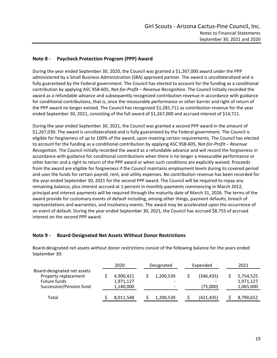# **Note 8 ‐ Paycheck Protection Program (PPP) Award**

During the year ended September 30, 2020, the Council was granted a \$1,267,000 award under the PPP administered by a Small Business Administration (SBA) approved partner. The award is uncollateralized and is fully guaranteed by the Federal government. The Council has elected to account for the funding as a conditional contribution by applying ASC 958‐605, *Not‐for‐Profit – Revenue Recognition*. The Council initially recorded the award as a refundable advance and subsequently recognized contribution revenue in accordance with guidance for conditional contributions, that is, once the measurable performance or other barrier and right of return of the PPP award no longer existed. The Council has recognized \$1,281,711 as contribution revenue for the year ended September 30, 2021, consisting of the full award of \$1,267,000 and accrued interest of \$14,711.

During the year ended September 30, 2021, the Council was granted a second PPP award in the amount of \$1,267,030. The award is uncollateralized and is fully guaranteed by the Federal government. The Council is eligible for forgiveness of up to 100% of the award, upon meeting certain requirements. The Council has elected to account for the funding as a conditional contribution by applying ASC 958‐605, *Not‐for‐Profit – Revenue Recognition*. The Council initially recorded the award as a refundable advance and will record the forgiveness in accordance with guidance for conditional contributions when there is no longer a measurable performance or other barrier and a right to return of the PPP award or when such conditions are explicitly waived. Proceeds from the award are eligible for forgiveness if the Council maintains employment levels during its covered period and uses the funds for certain payroll, rent, and utility expenses. No contribution revenue has been recorded for the year ended September 30, 2021 for the second PPP award. The Council will be required to repay any remaining balance, plus interest accrued at 1 percent in monthly payments commencing in March 2022, principal and interest payments will be required through the maturity date of March 31, 2026. The terms of the award provide for customary events of default including, among other things, payment defaults, breach of representations and warranties, and insolvency events. The award may be accelerated upon the occurrence of an event of default. During the year ended September 30, 2021, the Council has accrued \$8,755 of accrued interest on the second PPP award.

### **Note 9 ‐ Board‐Designated Net Assets Without Donor Restrictions**

Board‐designated net assets without donor restrictions consist of the following balance for the years ended September 30:

|                                                                                                | 2020                                | Designated                                     | Expended              |  | 2021                                |
|------------------------------------------------------------------------------------------------|-------------------------------------|------------------------------------------------|-----------------------|--|-------------------------------------|
| Board-designated net assets<br>Property replacement<br>Future funds<br>Succession/Pension fund | 4,900,421<br>1,971,127<br>1,140,000 | 1,200,539<br>-<br>$\qquad \qquad \blacksquare$ | (346,435)<br>(75,000) |  | 5,754,525<br>1,971,127<br>1,065,000 |
| Total                                                                                          | 8,011,548                           | 1,200,539                                      | (421, 435)            |  | 8,790,652                           |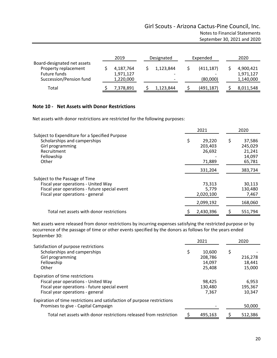|                                                                                                | 2019                                | Designated                                                        | Expended               |  | 2020                                |
|------------------------------------------------------------------------------------------------|-------------------------------------|-------------------------------------------------------------------|------------------------|--|-------------------------------------|
| Board-designated net assets<br>Property replacement<br>Future funds<br>Succession/Pension fund | 4,187,764<br>1,971,127<br>1,220,000 | 1,123,844<br>$\overline{\phantom{a}}$<br>$\overline{\phantom{a}}$ | (411, 187)<br>(80,000) |  | 4,900,421<br>1,971,127<br>1,140,000 |
| Total                                                                                          | 7,378,891                           | 1,123,844                                                         | (491,187)              |  | 8,011,548                           |

### **Note 10 ‐ Net Assets with Donor Restrictions**

Net assets with donor restrictions are restricted for the following purposes:

|                                                                                                                                          | 2021                                        | 2020                                                  |  |  |
|------------------------------------------------------------------------------------------------------------------------------------------|---------------------------------------------|-------------------------------------------------------|--|--|
| Subject to Expenditure for a Specified Purpose<br>Scholarships and camperships<br>Girl programming<br>Recruitment<br>Fellowship<br>Other | \$<br>29.220<br>203.403<br>26,692<br>71,889 | \$<br>37,586<br>245.029<br>21,241<br>14,097<br>65,781 |  |  |
|                                                                                                                                          | 331,204                                     | 383,734                                               |  |  |
| Subject to the Passage of Time                                                                                                           |                                             |                                                       |  |  |
| Fiscal year operations - United Way                                                                                                      | 73,313                                      | 30,113                                                |  |  |
| Fiscal year operations - future special event<br>Fiscal year operations - general                                                        | 5,779<br>2,020,100                          | 130,480<br>7,467                                      |  |  |
|                                                                                                                                          | 2,099,192                                   | 168,060                                               |  |  |
| Total net assets with donor restrictions                                                                                                 | 2,430,396                                   | 551,794                                               |  |  |

Net assets were released from donor restrictions by incurring expenses satisfying the restricted purpose or by occurrence of the passage of time or other events specified by the donors as follows for the years ended September 30:

|                                                                          | 2021 |         | 2020    |
|--------------------------------------------------------------------------|------|---------|---------|
| Satisfaction of purpose restrictions                                     |      |         |         |
| Scholarships and camperships                                             |      | 10,600  | \$      |
| Girl programming                                                         |      | 208,786 | 216,278 |
| Fellowship                                                               |      | 14,097  | 18,441  |
| Other                                                                    |      | 25,408  | 15,000  |
| Expiration of time restrictions                                          |      |         |         |
| Fiscal year operations - United Way                                      |      | 98,425  | 6,953   |
| Fiscal year operations - future special event                            |      | 130.480 | 195.367 |
| Fiscal year operations - general                                         |      | 7,367   | 10.347  |
| Expiration of time restrictions and satisfaction of purpose restrictions |      |         |         |
| Promises to give - Capital Campaign                                      |      |         | 50,000  |
| Total net assets with donor restrictions released from restriction       |      | 495,163 | 512,386 |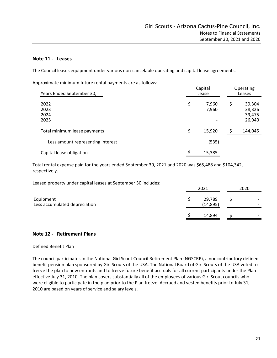### **Note 11 ‐ Leases**

The Council leases equipment under various non-cancelable operating and capital lease agreements.

Approximate minimum future rental payments are as follows:

| Years Ended September 30,         | Capital<br>Lease     |    |                                      |
|-----------------------------------|----------------------|----|--------------------------------------|
| 2022<br>2023<br>2024<br>2025      | \$<br>7,960<br>7,960 | \$ | 39,304<br>38,326<br>39,475<br>26,940 |
| Total minimum lease payments      | \$<br>15,920         |    | 144,045                              |
| Less amount representing interest | (535)                |    |                                      |
| Capital lease obligation          | \$<br>15,385         |    |                                      |

Total rental expense paid for the years ended September 30, 2021 and 2020 was \$65,488 and \$104,342, respectively.

Leased property under capital leases at September 30 includes:

|                                            | 2021 |                     | 2020                                                 |
|--------------------------------------------|------|---------------------|------------------------------------------------------|
| Equipment<br>Less accumulated depreciation |      | 29,789<br>(14, 895) | $\overline{\phantom{0}}$<br>$\overline{\phantom{0}}$ |
|                                            |      | 14,894              | $\overline{\phantom{0}}$                             |

### **Note 12 ‐ Retirement Plans**

### Defined Benefit Plan

The council participates in the National Girl Scout Council Retirement Plan (NGSCRP), a noncontributory defined benefit pension plan sponsored by Girl Scouts of the USA. The National Board of Girl Scouts of the USA voted to freeze the plan to new entrants and to freeze future benefit accruals for all current participants under the Plan effective July 31, 2010. The plan covers substantially all of the employees of various Girl Scout councils who were eligible to participate in the plan prior to the Plan freeze. Accrued and vested benefits prior to July 31, 2010 are based on years of service and salary levels.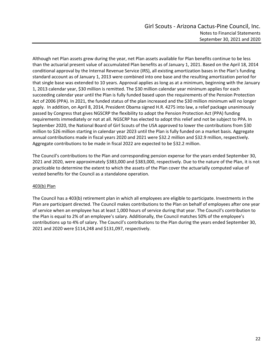Although net Plan assets grew during the year, net Plan assets available for Plan benefits continue to be less than the actuarial present value of accumulated Plan benefits as of January 1, 2021. Based on the April 18, 2014 conditional approval by the Internal Revenue Service (IRS), all existing amortization bases in the Plan's funding standard account as of January 1, 2013 were combined into one base and the resulting amortization period for that single base was extended to 10 years. Approval applies as long as at a minimum, beginning with the January 1, 2013 calendar year, \$30 million is remitted. The \$30 million calendar year minimum applies for each succeeding calendar year until the Plan is fully funded based upon the requirements of the Pension Protection Act of 2006 (PPA). In 2021, the funded status of the plan increased and the \$30 million minimum will no longer apply. In addition, on April 8, 2014, President Obama signed H.R. 4275 into law, a relief package unanimously passed by Congress that gives NGSCRP the flexibility to adopt the Pension Protection Act (PPA) funding requirements immediately or not at all. NGSCRP has elected to adopt this relief and not be subject to PPA. In September 2020, the National Board of Girl Scouts of the USA approved to lower the contributions from \$30 million to \$26 million starting in calendar year 2023 until the Plan is fully funded on a market basis. Aggregate annual contributions made in fiscal years 2020 and 2021 were \$32.2 million and \$32.9 million, respectively. Aggregate contributions to be made in fiscal 2022 are expected to be \$32.2 million.

The Council's contributions to the Plan and corresponding pension expense for the years ended September 30, 2021 and 2020, were approximately \$383,000 and \$383,000, respectively. Due to the nature of the Plan, it is not practicable to determine the extent to which the assets of the Plan cover the actuarially computed value of vested benefits for the Council as a standalone operation.

### 403(b) Plan

The Council has a 403(b) retirement plan in which all employees are eligible to participate. Investments in the Plan are participant directed. The Council makes contributions to the Plan on behalf of employees after one year of service when an employee has at least 1,000 hours of service during that year. The Council's contribution to the Plan is equal to 2% of an employee's salary. Additionally, the Council matches 50% of the employee's contributions up to 4% of salary. The Council's contributions to the Plan during the years ended September 30, 2021 and 2020 were \$114,248 and \$131,097, respectively.